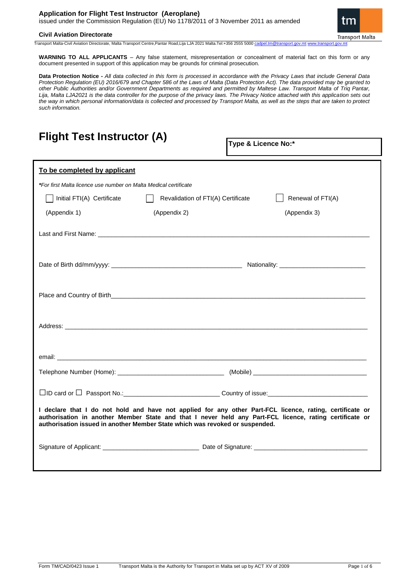### **Application for Flight Test Instructor (Aeroplane)** issued under the Commission Regulation (EU) No 1178/2011 of 3 November 2011 as amended



**Civil Aviation Directorate** 

Transport Malta-Civil Aviation Directorate, Malta Transport Centre,Pantar Road,Lija LJA 2021 Malta.Tel:+356 2555 5000 [cadpel.tm@transport.gov.mt](mailto:cadpel.tm@transport.gov.mt) www.tr

**WARNING TO ALL APPLICANTS** – Any false statement, misrepresentation or concealment of material fact on this form or any document presented in support of this application may be grounds for criminal prosecution.

**Data Protection Notice -** *All data collected in this form is processed in accordance with the Privacy Laws that include General Data Protection Regulation (EU) 2016/679 and Chapter 586 of the Laws of Malta (Data Protection Act). The data provided may be granted to other Public Authorities and/or Government Departments as required and permitted by Maltese Law. Transport Malta of Triq Pantar, Lija, Malta LJA2021 is the data controller for the purpose of the privacy laws. The Privacy Notice attached with this application sets out the way in which personal information/data is collected and processed by Transport Malta, as well as the steps that are taken to protect such information.*

| <b>Flight Test Instructor (A)</b>                                                                                                                                                                                                                                                                   |                                    | Type & Licence No:* |  |  |
|-----------------------------------------------------------------------------------------------------------------------------------------------------------------------------------------------------------------------------------------------------------------------------------------------------|------------------------------------|---------------------|--|--|
| To be completed by applicant                                                                                                                                                                                                                                                                        |                                    |                     |  |  |
| *For first Malta licence use number on Malta Medical certificate                                                                                                                                                                                                                                    |                                    |                     |  |  |
| Initial FTI(A) Certificate                                                                                                                                                                                                                                                                          | Revalidation of FTI(A) Certificate | Renewal of FTI(A)   |  |  |
| (Appendix 1)                                                                                                                                                                                                                                                                                        | (Appendix 2)                       | (Appendix 3)        |  |  |
|                                                                                                                                                                                                                                                                                                     |                                    |                     |  |  |
|                                                                                                                                                                                                                                                                                                     |                                    |                     |  |  |
|                                                                                                                                                                                                                                                                                                     |                                    |                     |  |  |
|                                                                                                                                                                                                                                                                                                     |                                    |                     |  |  |
|                                                                                                                                                                                                                                                                                                     |                                    |                     |  |  |
|                                                                                                                                                                                                                                                                                                     |                                    |                     |  |  |
|                                                                                                                                                                                                                                                                                                     |                                    |                     |  |  |
| I declare that I do not hold and have not applied for any other Part-FCL licence, rating, certificate or<br>authorisation in another Member State and that I never held any Part-FCL licence, rating certificate or<br>authorisation issued in another Member State which was revoked or suspended. |                                    |                     |  |  |
|                                                                                                                                                                                                                                                                                                     |                                    |                     |  |  |
|                                                                                                                                                                                                                                                                                                     |                                    |                     |  |  |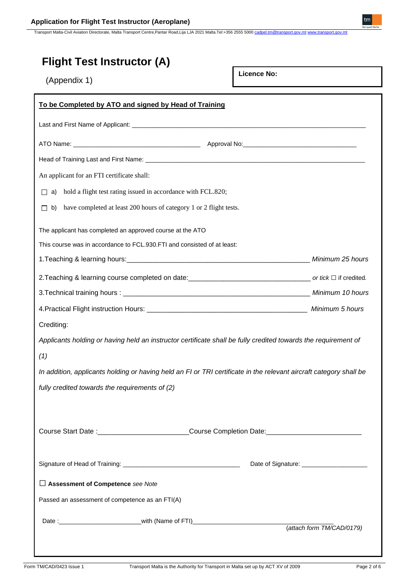Transport Malta-Civil Aviation Directorate, Malta Transport Centre,Pantar Road,Lija LJA 2021 Malta.Tel:+356 2555 5000 [cadpel.tm@transport.gov.mt](mailto:cadpel.tm@transport.gov.mt) [www.transport.gov.mt](http://www.transport.gov.mt/)

| <b>Flight Test Instructor (A)</b><br>(Appendix 1)                                                                  | <b>Licence No:</b> |                           |
|--------------------------------------------------------------------------------------------------------------------|--------------------|---------------------------|
| To be Completed by ATO and signed by Head of Training                                                              |                    |                           |
|                                                                                                                    |                    |                           |
|                                                                                                                    |                    |                           |
|                                                                                                                    |                    |                           |
| An applicant for an FTI certificate shall:                                                                         |                    |                           |
| $\Box$ a) hold a flight test rating issued in accordance with FCL.820;                                             |                    |                           |
| have completed at least 200 hours of category 1 or 2 flight tests.<br>b)<br>П                                      |                    |                           |
| The applicant has completed an approved course at the ATO                                                          |                    |                           |
| This course was in accordance to FCL.930.FTI and consisted of at least:                                            |                    |                           |
|                                                                                                                    |                    |                           |
|                                                                                                                    |                    |                           |
|                                                                                                                    |                    |                           |
|                                                                                                                    |                    |                           |
| Crediting:                                                                                                         |                    |                           |
| Applicants holding or having held an instructor certificate shall be fully credited towards the requirement of     |                    |                           |
| (1)                                                                                                                |                    |                           |
| In addition, applicants holding or having held an FI or TRI certificate in the relevant aircraft category shall be |                    |                           |
| fully credited towards the requirements of (2)                                                                     |                    |                           |
| Course Start Date :___________________________Course Completion Date:_______________________________               |                    |                           |
|                                                                                                                    |                    |                           |
| Assessment of Competence see Note                                                                                  |                    |                           |
| Passed an assessment of competence as an FTI(A)                                                                    |                    |                           |
| Date :__________________________________with (Name of FTI)______________________                                   |                    |                           |
|                                                                                                                    |                    | (attach form TM/CAD/0179) |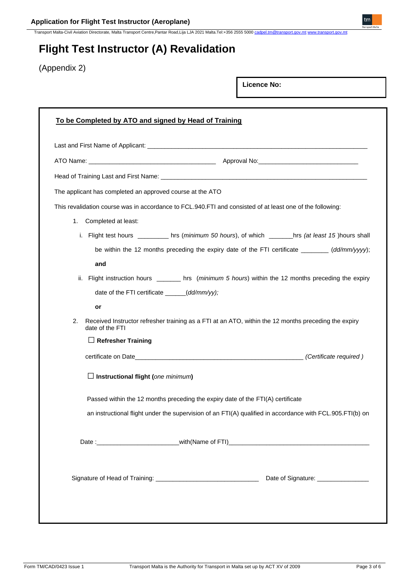Transport Malta-Civil Aviation Directorate, Malta Transport Centre,Pantar Road,Lija LJA 2021 Malta.Tel:+356 2555 5000 [cadpel.tm@transport.gov.mt](mailto:cadpel.tm@transport.gov.mt) [www.transport.gov.mt](http://www.transport.gov.mt/)

**Licence No:**

# **Flight Test Instructor (A) Revalidation**

(Appendix 2)

| The applicant has completed an approved course at the ATO                                                                     |                                              |                                                                                                           |
|-------------------------------------------------------------------------------------------------------------------------------|----------------------------------------------|-----------------------------------------------------------------------------------------------------------|
|                                                                                                                               |                                              | This revalidation course was in accordance to FCL.940.FTI and consisted of at least one of the following: |
| 1.                                                                                                                            | Completed at least:                          |                                                                                                           |
|                                                                                                                               |                                              | i. Flight test hours _________ hrs (minimum 50 hours), of which _______hrs (at least 15 )hours shall      |
|                                                                                                                               |                                              | be within the 12 months preceding the expiry date of the FTI certificate ________ (dd/mm/yyyy);           |
|                                                                                                                               | and                                          |                                                                                                           |
|                                                                                                                               |                                              | ii. Flight instruction hours _________ hrs (minimum 5 hours) within the 12 months preceding the expiry    |
|                                                                                                                               | date of the FTI certificate _____(dd/mm/yy); |                                                                                                           |
|                                                                                                                               | or                                           |                                                                                                           |
| Received Instructor refresher training as a FTI at an ATO, within the 12 months preceding the expiry<br>2.<br>date of the FTI |                                              |                                                                                                           |
|                                                                                                                               | $\Box$ Refresher Training                    |                                                                                                           |
|                                                                                                                               |                                              |                                                                                                           |
|                                                                                                                               | $\Box$ Instructional flight (one minimum)    |                                                                                                           |
|                                                                                                                               |                                              | Passed within the 12 months preceding the expiry date of the FTI(A) certificate                           |
|                                                                                                                               |                                              | an instructional flight under the supervision of an FTI(A) qualified in accordance with FCL.905.FTI(b) on |
|                                                                                                                               |                                              |                                                                                                           |
|                                                                                                                               |                                              |                                                                                                           |
|                                                                                                                               |                                              | Date of Signature: ________________                                                                       |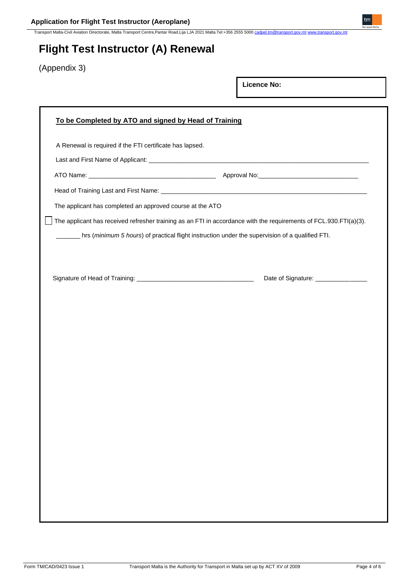Transport Malta-Civil Aviation Directorate, Malta Transport Centre,Pantar Road,Lija LJA 2021 Malta.Tel:+356 2555 5000 [cadpel.tm@transport.gov.mt](mailto:cadpel.tm@transport.gov.mt) [www.transport.gov.mt](http://www.transport.gov.mt/)

# **Flight Test Instructor (A) Renewal**

(Appendix 3)

| To be Completed by ATO and signed by Head of Training<br>A Renewal is required if the FTI certificate has lapsed.<br>The applicant has completed an approved course at the ATO<br>The applicant has received refresher training as an FTI in accordance with the requirements of FCL.930.FTI(a)(3).<br>hrs (minimum 5 hours) of practical flight instruction under the supervision of a qualified FTI.<br>Date of Signature: ________________ |  | <b>Licence No:</b> |  |
|-----------------------------------------------------------------------------------------------------------------------------------------------------------------------------------------------------------------------------------------------------------------------------------------------------------------------------------------------------------------------------------------------------------------------------------------------|--|--------------------|--|
|                                                                                                                                                                                                                                                                                                                                                                                                                                               |  |                    |  |
|                                                                                                                                                                                                                                                                                                                                                                                                                                               |  |                    |  |
|                                                                                                                                                                                                                                                                                                                                                                                                                                               |  |                    |  |
|                                                                                                                                                                                                                                                                                                                                                                                                                                               |  |                    |  |
|                                                                                                                                                                                                                                                                                                                                                                                                                                               |  |                    |  |
|                                                                                                                                                                                                                                                                                                                                                                                                                                               |  |                    |  |
|                                                                                                                                                                                                                                                                                                                                                                                                                                               |  |                    |  |
|                                                                                                                                                                                                                                                                                                                                                                                                                                               |  |                    |  |
|                                                                                                                                                                                                                                                                                                                                                                                                                                               |  |                    |  |
|                                                                                                                                                                                                                                                                                                                                                                                                                                               |  |                    |  |
|                                                                                                                                                                                                                                                                                                                                                                                                                                               |  |                    |  |
|                                                                                                                                                                                                                                                                                                                                                                                                                                               |  |                    |  |
|                                                                                                                                                                                                                                                                                                                                                                                                                                               |  |                    |  |
|                                                                                                                                                                                                                                                                                                                                                                                                                                               |  |                    |  |
|                                                                                                                                                                                                                                                                                                                                                                                                                                               |  |                    |  |
|                                                                                                                                                                                                                                                                                                                                                                                                                                               |  |                    |  |
|                                                                                                                                                                                                                                                                                                                                                                                                                                               |  |                    |  |
|                                                                                                                                                                                                                                                                                                                                                                                                                                               |  |                    |  |
|                                                                                                                                                                                                                                                                                                                                                                                                                                               |  |                    |  |
|                                                                                                                                                                                                                                                                                                                                                                                                                                               |  |                    |  |
|                                                                                                                                                                                                                                                                                                                                                                                                                                               |  |                    |  |
|                                                                                                                                                                                                                                                                                                                                                                                                                                               |  |                    |  |
|                                                                                                                                                                                                                                                                                                                                                                                                                                               |  |                    |  |
|                                                                                                                                                                                                                                                                                                                                                                                                                                               |  |                    |  |
|                                                                                                                                                                                                                                                                                                                                                                                                                                               |  |                    |  |
|                                                                                                                                                                                                                                                                                                                                                                                                                                               |  |                    |  |
|                                                                                                                                                                                                                                                                                                                                                                                                                                               |  |                    |  |

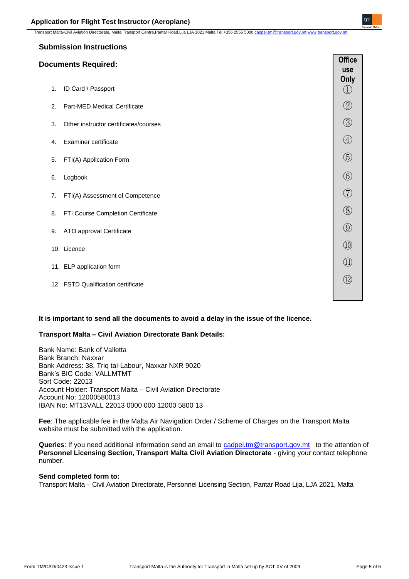Transport Malta-Civil Aviation Directorate, Malta Transport Centre,Pantar Road,Lija LJA 2021 Malta.Tel:+356 2555 5000 cadp

## **Submission Instructions**

## **Documents Required:**

|    |                                       | use<br>Only                       |
|----|---------------------------------------|-----------------------------------|
| 1. | ID Card / Passport                    | $\bigcirc$                        |
| 2. | <b>Part-MED Medical Certificate</b>   | $\circledZ$                       |
| 3. | Other instructor certificates/courses | $\circledS$                       |
| 4. | <b>Examiner certificate</b>           | $\bigcircled{4}$                  |
| 5. | FTI(A) Application Form               | $\circledS$                       |
| 6. | Logbook                               | $\circled{6}$                     |
| 7. | FTI(A) Assessment of Competence       | (7)                               |
| 8. | FTI Course Completion Certificate     | $\circledS$                       |
| 9. | ATO approval Certificate              | $\circled{0}$                     |
|    | 10. Licence                           | $\circled{1}$                     |
|    | 11. ELP application form              | $\begin{pmatrix} 1 \end{pmatrix}$ |
|    | 12. FSTD Qualification certificate    | $\left( \overline{12}\right)$     |
|    |                                       |                                   |

**It is important to send all the documents to avoid a delay in the issue of the licence.**

## **Transport Malta – Civil Aviation Directorate Bank Details:**

Bank Name: Bank of Valletta Bank Branch: Naxxar Bank Address: 38, Triq tal-Labour, Naxxar NXR 9020 Bank's BIC Code: VALLMTMT Sort Code: 22013 Account Holder: Transport Malta – Civil Aviation Directorate Account No: 12000580013 IBAN No: MT13VALL 22013 0000 000 12000 5800 13

**Fee**: The applicable fee in the Malta Air Navigation Order / Scheme of Charges on the Transport Malta website must be submitted with the application.

**Queries**: If you need additional information send an email to [cadpel.tm@transport.gov.mt](mailto:cadpel.tm@transport.gov.mt) to the attention of **Personnel Licensing Section, Transport Malta Civil Aviation Directorate** - giving your contact telephone number.

## **Send completed form to:**

Transport Malta – Civil Aviation Directorate, Personnel Licensing Section, Pantar Road Lija, LJA 2021, Malta

**Office**